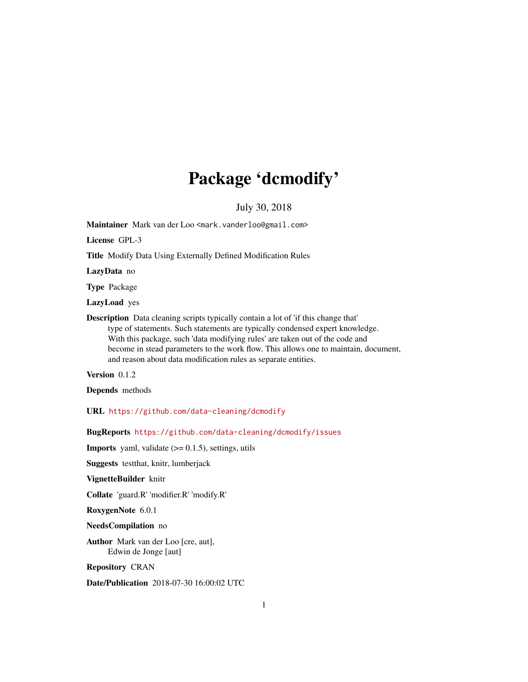## Package 'dcmodify'

July 30, 2018

Maintainer Mark van der Loo <mark.vanderloo@gmail.com>

License GPL-3

Title Modify Data Using Externally Defined Modification Rules

LazyData no

Type Package

LazyLoad yes

Description Data cleaning scripts typically contain a lot of 'if this change that' type of statements. Such statements are typically condensed expert knowledge. With this package, such 'data modifying rules' are taken out of the code and become in stead parameters to the work flow. This allows one to maintain, document, and reason about data modification rules as separate entities.

Version 0.1.2

Depends methods

URL <https://github.com/data-cleaning/dcmodify>

BugReports <https://github.com/data-cleaning/dcmodify/issues>

**Imports** yaml, validate  $(>= 0.1.5)$ , settings, utils

Suggests testthat, knitr, lumberjack

VignetteBuilder knitr

Collate 'guard.R' 'modifier.R' 'modify.R'

RoxygenNote 6.0.1

NeedsCompilation no

Author Mark van der Loo [cre, aut], Edwin de Jonge [aut]

Repository CRAN

Date/Publication 2018-07-30 16:00:02 UTC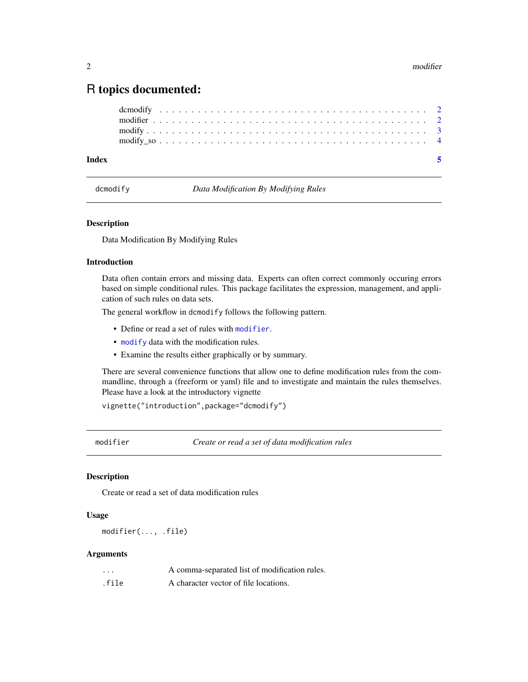#### <span id="page-1-0"></span>R topics documented:

| Index |  |  |  |  |  |  |  |  |  |  |  |  |  |  |  |  |  |  |  |  |  |  |
|-------|--|--|--|--|--|--|--|--|--|--|--|--|--|--|--|--|--|--|--|--|--|--|
|       |  |  |  |  |  |  |  |  |  |  |  |  |  |  |  |  |  |  |  |  |  |  |
|       |  |  |  |  |  |  |  |  |  |  |  |  |  |  |  |  |  |  |  |  |  |  |
|       |  |  |  |  |  |  |  |  |  |  |  |  |  |  |  |  |  |  |  |  |  |  |
|       |  |  |  |  |  |  |  |  |  |  |  |  |  |  |  |  |  |  |  |  |  |  |

dcmodify *Data Modification By Modifying Rules*

#### Description

Data Modification By Modifying Rules

#### Introduction

Data often contain errors and missing data. Experts can often correct commonly occuring errors based on simple conditional rules. This package facilitates the expression, management, and application of such rules on data sets.

The general workflow in dcmodify follows the following pattern.

- Define or read a set of rules with [modifier](#page-1-1).
- [modify](#page-2-1) data with the modification rules.
- Examine the results either graphically or by summary.

There are several convenience functions that allow one to define modification rules from the commandline, through a (freeform or yaml) file and to investigate and maintain the rules themselves. Please have a look at the introductory vignette

vignette("introduction",package="dcmodify")

<span id="page-1-1"></span>modifier *Create or read a set of data modification rules*

#### Description

Create or read a set of data modification rules

#### Usage

```
modifier(..., .file)
```
#### Arguments

| $\cdots$ | A comma-separated list of modification rules. |
|----------|-----------------------------------------------|
| .file    | A character vector of file locations.         |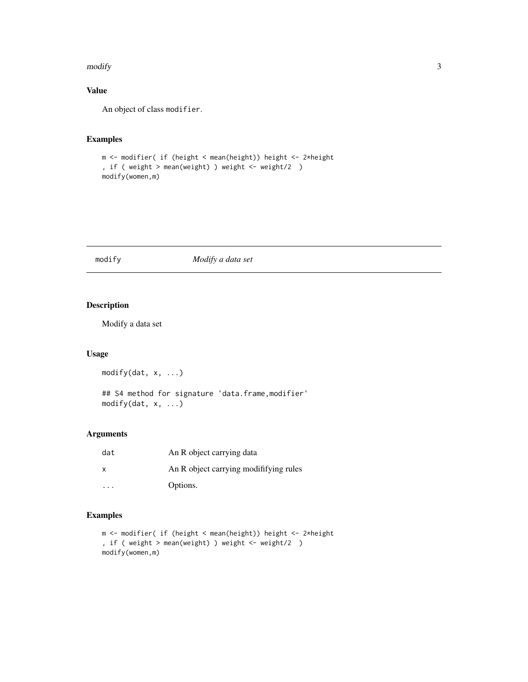#### <span id="page-2-0"></span>modify 3

#### Value

An object of class modifier.

#### Examples

```
m <- modifier( if (height < mean(height)) height <- 2*height
, if ( weight > mean(weight) ) weight <- weight/2 )
modify(women,m)
```
#### <span id="page-2-1"></span>modify *Modify a data set*

#### Description

Modify a data set

#### Usage

modify(dat, x, ...)

## S4 method for signature 'data.frame,modifier' modify(dat, x, ...)

#### Arguments

| dat | An R object carrying data              |
|-----|----------------------------------------|
| x   | An R object carrying modififying rules |
|     | Options.                               |

#### Examples

```
m <- modifier( if (height < mean(height)) height <- 2*height
, if ( weight > mean(weight) ) weight <- weight/2 )
modify(women,m)
```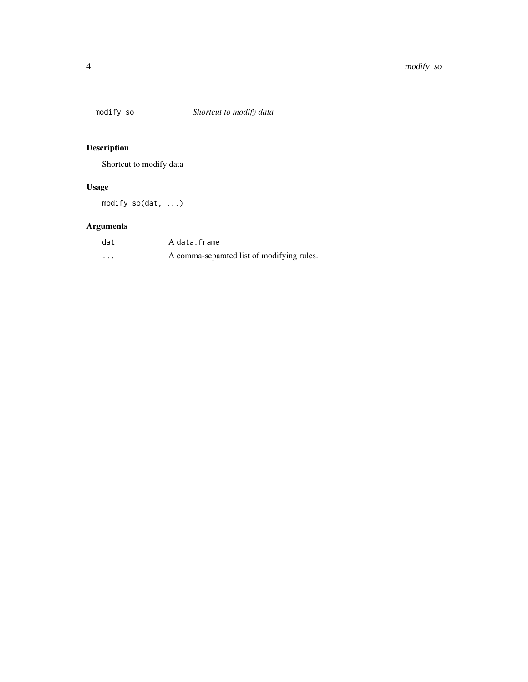<span id="page-3-0"></span>

### Description

Shortcut to modify data

#### Usage

modify\_so(dat, ...)

### Arguments

| dat | A data.frame                               |
|-----|--------------------------------------------|
| .   | A comma-separated list of modifying rules. |